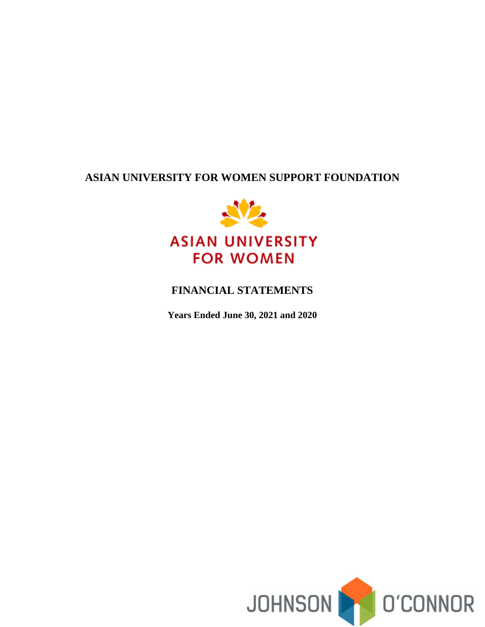# **ASIAN UNIVERSITY FOR WOMEN SUPPORT FOUNDATION**



# **FINANCIAL STATEMENTS**

**Years Ended June 30, 2021 and 2020** 

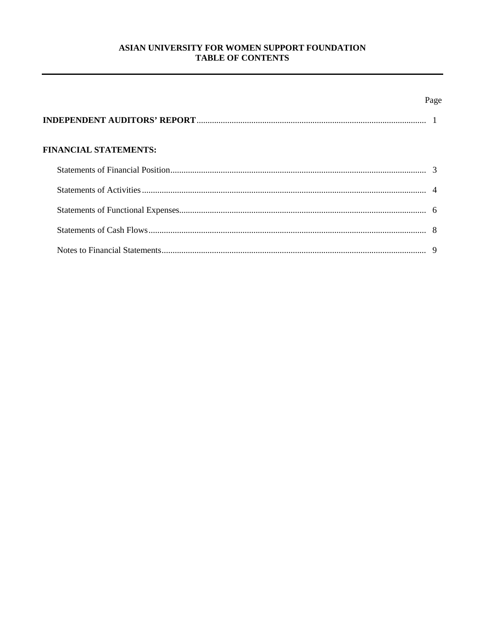# ASIAN UNIVERSITY FOR WOMEN SUPPORT FOUNDATION **TABLE OF CONTENTS**

|                              | Page |  |
|------------------------------|------|--|
|                              |      |  |
| <b>FINANCIAL STATEMENTS:</b> |      |  |
|                              |      |  |
|                              |      |  |
|                              |      |  |
|                              |      |  |
|                              |      |  |

# Page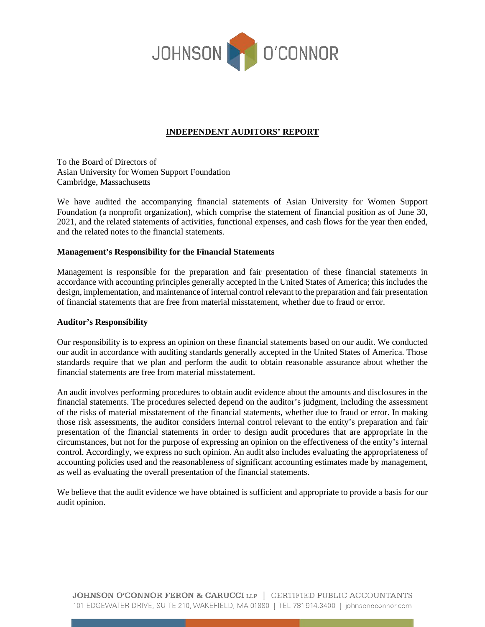

## **INDEPENDENT AUDITORS' REPORT**

To the Board of Directors of Asian University for Women Support Foundation Cambridge, Massachusetts

We have audited the accompanying financial statements of Asian University for Women Support Foundation (a nonprofit organization), which comprise the statement of financial position as of June 30, 2021, and the related statements of activities, functional expenses, and cash flows for the year then ended, and the related notes to the financial statements.

#### **Management's Responsibility for the Financial Statements**

Management is responsible for the preparation and fair presentation of these financial statements in accordance with accounting principles generally accepted in the United States of America; this includes the design, implementation, and maintenance of internal control relevant to the preparation and fair presentation of financial statements that are free from material misstatement, whether due to fraud or error.

#### **Auditor's Responsibility**

Our responsibility is to express an opinion on these financial statements based on our audit. We conducted our audit in accordance with auditing standards generally accepted in the United States of America. Those standards require that we plan and perform the audit to obtain reasonable assurance about whether the financial statements are free from material misstatement.

An audit involves performing procedures to obtain audit evidence about the amounts and disclosures in the financial statements. The procedures selected depend on the auditor's judgment, including the assessment of the risks of material misstatement of the financial statements, whether due to fraud or error. In making those risk assessments, the auditor considers internal control relevant to the entity's preparation and fair presentation of the financial statements in order to design audit procedures that are appropriate in the circumstances, but not for the purpose of expressing an opinion on the effectiveness of the entity's internal control. Accordingly, we express no such opinion. An audit also includes evaluating the appropriateness of accounting policies used and the reasonableness of significant accounting estimates made by management, as well as evaluating the overall presentation of the financial statements.

We believe that the audit evidence we have obtained is sufficient and appropriate to provide a basis for our audit opinion.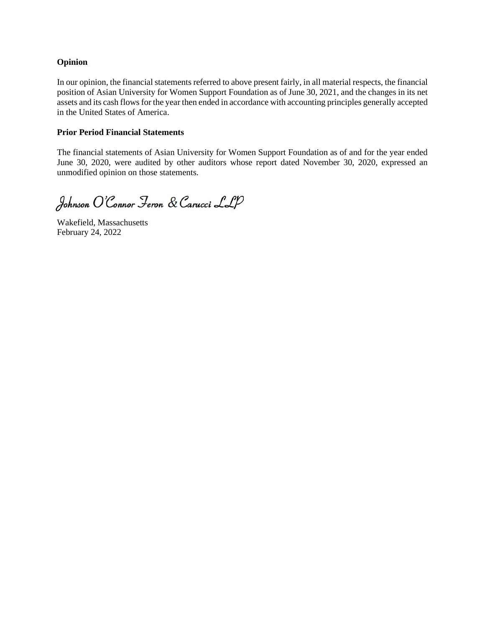#### **Opinion**

In our opinion, the financial statements referred to above present fairly, in all material respects, the financial position of Asian University for Women Support Foundation as of June 30, 2021, and the changes in its net assets and its cash flows for the year then ended in accordance with accounting principles generally accepted in the United States of America.

#### **Prior Period Financial Statements**

The financial statements of Asian University for Women Support Foundation as of and for the year ended June 30, 2020, were audited by other auditors whose report dated November 30, 2020, expressed an unmodified opinion on those statements.

Johnson O'Connor Feron & Carucci LLP

Wakefield, Massachusetts February 24, 2022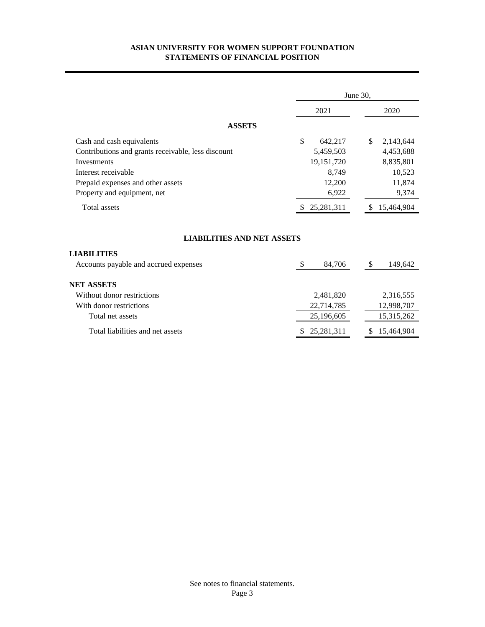### **ASIAN UNIVERSITY FOR WOMEN SUPPORT FOUNDATION STATEMENTS OF FINANCIAL POSITION**

|                                                    | June 30,      |                  |
|----------------------------------------------------|---------------|------------------|
|                                                    | 2021          | 2020             |
| <b>ASSETS</b>                                      |               |                  |
| Cash and cash equivalents                          | \$<br>642,217 | \$<br>2,143,644  |
| Contributions and grants receivable, less discount | 5,459,503     | 4,453,688        |
| Investments                                        | 19, 151, 720  | 8,835,801        |
| Interest receivable                                | 8,749         | 10,523           |
| Prepaid expenses and other assets                  | 12,200        | 11,874           |
| Property and equipment, net                        | 6,922         | 9,374            |
| <b>Total assets</b>                                | 25,281,311    | 15,464,904       |
| <b>LIABILITIES AND NET ASSETS</b>                  |               |                  |
| <b>LIABILITIES</b>                                 |               |                  |
| Accounts payable and accrued expenses              | \$<br>84,706  | \$<br>149,642    |
| <b>NET ASSETS</b>                                  |               |                  |
| Without donor restrictions                         | 2,481,820     | 2,316,555        |
| With donor restrictions                            | 22,714,785    | 12,998,707       |
| Total net assets                                   | 25,196,605    | 15,315,262       |
| Total liabilities and net assets                   | 25,281,311    | 15,464,904<br>\$ |

See notes to financial statements. Page 3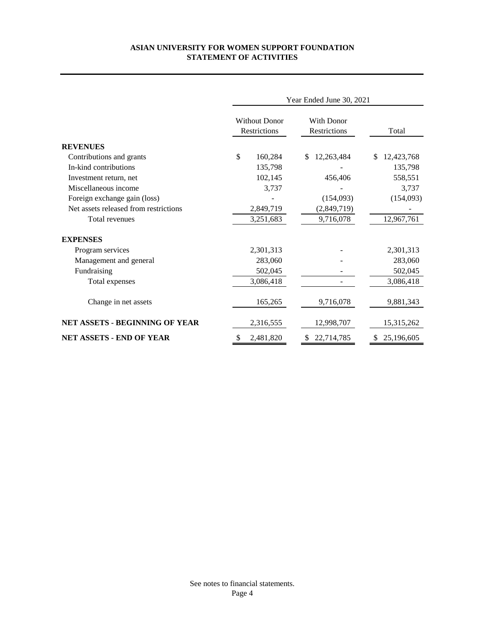#### **ASIAN UNIVERSITY FOR WOMEN SUPPORT FOUNDATION STATEMENT OF ACTIVITIES**

|                                       | Year Ended June 30, 2021             |                                   |                   |  |  |
|---------------------------------------|--------------------------------------|-----------------------------------|-------------------|--|--|
|                                       | <b>Without Donor</b><br>Restrictions | <b>With Donor</b><br>Restrictions | Total             |  |  |
| <b>REVENUES</b>                       |                                      |                                   |                   |  |  |
| Contributions and grants              | \$<br>160,284                        | 12,263,484<br>\$.                 | 12,423,768<br>\$. |  |  |
| In-kind contributions                 | 135,798                              |                                   | 135,798           |  |  |
| Investment return, net                | 102,145                              | 456,406                           | 558,551           |  |  |
| Miscellaneous income                  | 3,737                                |                                   | 3,737             |  |  |
| Foreign exchange gain (loss)          |                                      | (154,093)                         | (154,093)         |  |  |
| Net assets released from restrictions | 2,849,719                            | (2,849,719)                       |                   |  |  |
| Total revenues                        | 3,251,683                            | 9,716,078                         | 12,967,761        |  |  |
| <b>EXPENSES</b>                       |                                      |                                   |                   |  |  |
| Program services                      | 2,301,313                            |                                   | 2,301,313         |  |  |
| Management and general                | 283,060                              |                                   | 283,060           |  |  |
| Fundraising                           | 502,045                              |                                   | 502,045           |  |  |
| Total expenses                        | 3,086,418                            |                                   | 3,086,418         |  |  |
| Change in net assets                  | 165,265                              | 9,716,078                         | 9,881,343         |  |  |
| NET ASSETS - BEGINNING OF YEAR        | 2,316,555                            | 12,998,707                        | 15,315,262        |  |  |
| <b>NET ASSETS - END OF YEAR</b>       | 2,481,820                            | 22,714,785                        | 25,196,605        |  |  |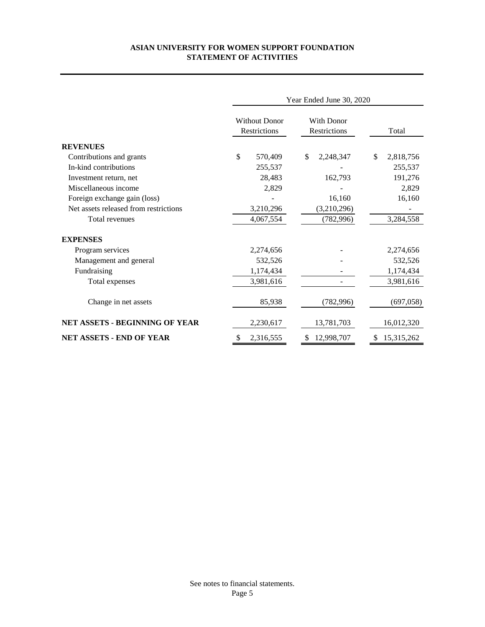#### **ASIAN UNIVERSITY FOR WOMEN SUPPORT FOUNDATION STATEMENT OF ACTIVITIES**

|                                       | Year Ended June 30, 2020 |                                      |            |                                   |            |            |
|---------------------------------------|--------------------------|--------------------------------------|------------|-----------------------------------|------------|------------|
|                                       |                          | <b>Without Donor</b><br>Restrictions |            | <b>With Donor</b><br>Restrictions |            | Total      |
| <b>REVENUES</b>                       |                          |                                      |            |                                   |            |            |
| Contributions and grants              | \$                       | 570,409                              | \$         | 2,248,347                         | \$         | 2,818,756  |
| In-kind contributions                 |                          | 255,537                              |            |                                   |            | 255,537    |
| Investment return, net                |                          | 28,483                               |            | 162,793                           |            | 191,276    |
| Miscellaneous income                  |                          | 2,829                                |            |                                   |            | 2,829      |
| Foreign exchange gain (loss)          |                          |                                      |            | 16,160                            |            | 16,160     |
| Net assets released from restrictions |                          | 3,210,296                            |            | (3,210,296)                       |            |            |
| Total revenues                        | 4,067,554                |                                      | (782, 996) |                                   |            | 3,284,558  |
| <b>EXPENSES</b>                       |                          |                                      |            |                                   |            |            |
| Program services                      |                          | 2,274,656                            |            |                                   |            | 2,274,656  |
| Management and general                |                          | 532,526                              |            |                                   |            | 532,526    |
| Fundraising                           |                          | 1,174,434                            |            |                                   |            | 1,174,434  |
| Total expenses                        |                          | 3,981,616                            |            |                                   |            | 3,981,616  |
| Change in net assets                  |                          | 85,938                               |            | (782, 996)                        |            | (697,058)  |
| NET ASSETS - BEGINNING OF YEAR        |                          | 2,230,617                            |            | 13,781,703                        |            | 16,012,320 |
| <b>NET ASSETS - END OF YEAR</b>       |                          | 2,316,555                            | 12,998,707 |                                   | 15,315,262 |            |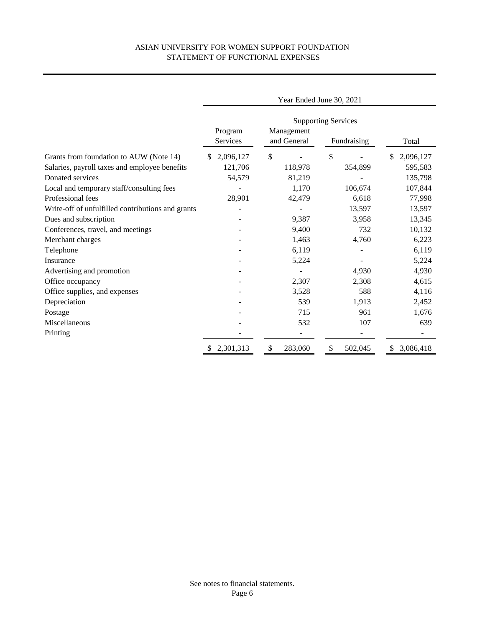#### ASIAN UNIVERSITY FOR WOMEN SUPPORT FOUNDATION STATEMENT OF FUNCTIONAL EXPENSES

|                                                   | Year Ended June 30, 2021 |                            |              |                |  |  |  |
|---------------------------------------------------|--------------------------|----------------------------|--------------|----------------|--|--|--|
|                                                   |                          | <b>Supporting Services</b> |              |                |  |  |  |
|                                                   | Program<br>Services      | Management<br>and General  | Fundraising  | Total          |  |  |  |
| Grants from foundation to AUW (Note 14)           | 2,096,127<br>\$.         | \$                         | \$           | 2,096,127<br>S |  |  |  |
| Salaries, payroll taxes and employee benefits     | 121,706                  | 118,978                    | 354,899      | 595,583        |  |  |  |
| Donated services                                  | 54,579                   | 81,219                     |              | 135,798        |  |  |  |
| Local and temporary staff/consulting fees         |                          | 1,170                      | 106,674      | 107,844        |  |  |  |
| Professional fees                                 | 28,901                   | 42,479                     | 6,618        | 77,998         |  |  |  |
| Write-off of unfulfilled contributions and grants |                          |                            | 13,597       | 13,597         |  |  |  |
| Dues and subscription                             |                          | 9,387                      | 3,958        | 13,345         |  |  |  |
| Conferences, travel, and meetings                 |                          | 9,400                      | 732          | 10,132         |  |  |  |
| Merchant charges                                  |                          | 1,463                      | 4,760        | 6,223          |  |  |  |
| Telephone                                         |                          | 6,119                      |              | 6,119          |  |  |  |
| Insurance                                         |                          | 5,224                      |              | 5,224          |  |  |  |
| Advertising and promotion                         |                          |                            | 4,930        | 4,930          |  |  |  |
| Office occupancy                                  |                          | 2,307                      | 2,308        | 4,615          |  |  |  |
| Office supplies, and expenses                     |                          | 3,528                      | 588          | 4,116          |  |  |  |
| Depreciation                                      |                          | 539                        | 1,913        | 2,452          |  |  |  |
| Postage                                           |                          | 715                        | 961          | 1,676          |  |  |  |
| Miscellaneous                                     |                          | 532                        | 107          | 639            |  |  |  |
| Printing                                          |                          |                            |              |                |  |  |  |
|                                                   | 2,301,313                | 283,060<br>S               | 502,045<br>S | 3,086,418<br>S |  |  |  |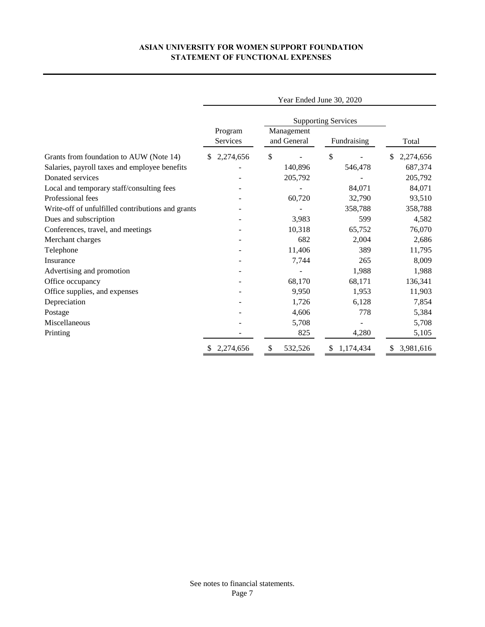#### **ASIAN UNIVERSITY FOR WOMEN SUPPORT FOUNDATION STATEMENT OF FUNCTIONAL EXPENSES**

|                                                   | Year Ended June 30, 2020 |                            |                |                |  |  |  |
|---------------------------------------------------|--------------------------|----------------------------|----------------|----------------|--|--|--|
|                                                   |                          | <b>Supporting Services</b> |                |                |  |  |  |
|                                                   | Program<br>Services      | Management<br>and General  | Fundraising    | Total          |  |  |  |
| Grants from foundation to AUW (Note 14)           | 2,274,656<br>S.          | \$                         | \$             | 2,274,656<br>S |  |  |  |
| Salaries, payroll taxes and employee benefits     |                          | 140,896                    | 546,478        | 687,374        |  |  |  |
| Donated services                                  |                          | 205,792                    |                | 205,792        |  |  |  |
| Local and temporary staff/consulting fees         |                          |                            | 84,071         | 84,071         |  |  |  |
| Professional fees                                 |                          | 60,720                     | 32,790         | 93,510         |  |  |  |
| Write-off of unfulfilled contributions and grants |                          |                            | 358,788        | 358,788        |  |  |  |
| Dues and subscription                             |                          | 3,983                      | 599            | 4,582          |  |  |  |
| Conferences, travel, and meetings                 |                          | 10,318                     | 65,752         | 76,070         |  |  |  |
| Merchant charges                                  |                          | 682                        | 2,004          | 2,686          |  |  |  |
| Telephone                                         |                          | 11,406                     | 389            | 11,795         |  |  |  |
| Insurance                                         |                          | 7,744                      | 265            | 8,009          |  |  |  |
| Advertising and promotion                         |                          |                            | 1,988          | 1,988          |  |  |  |
| Office occupancy                                  |                          | 68,170                     | 68,171         | 136,341        |  |  |  |
| Office supplies, and expenses                     |                          | 9,950                      | 1,953          | 11,903         |  |  |  |
| Depreciation                                      |                          | 1,726                      | 6,128          | 7,854          |  |  |  |
| Postage                                           |                          | 4,606                      | 778            | 5,384          |  |  |  |
| Miscellaneous                                     |                          | 5,708                      |                | 5,708          |  |  |  |
| Printing                                          |                          | 825                        | 4,280          | 5,105          |  |  |  |
|                                                   | 2,274,656                | 532,526<br>S               | 1,174,434<br>S | 3,981,616<br>S |  |  |  |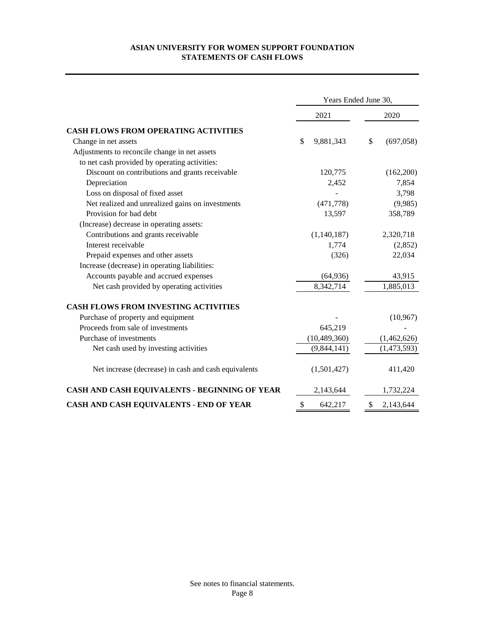#### **ASIAN UNIVERSITY FOR WOMEN SUPPORT FOUNDATION STATEMENTS OF CASH FLOWS**

|                                                      | Years Ended June 30,      |                  |  |
|------------------------------------------------------|---------------------------|------------------|--|
|                                                      | 2021                      | 2020             |  |
| <b>CASH FLOWS FROM OPERATING ACTIVITIES</b>          |                           |                  |  |
| Change in net assets                                 | $\mathbb{S}$<br>9,881,343 | \$<br>(697, 058) |  |
| Adjustments to reconcile change in net assets        |                           |                  |  |
| to net cash provided by operating activities:        |                           |                  |  |
| Discount on contributions and grants receivable      | 120,775                   | (162,200)        |  |
| Depreciation                                         | 2,452                     | 7,854            |  |
| Loss on disposal of fixed asset                      |                           | 3,798            |  |
| Net realized and unrealized gains on investments     | (471, 778)                | (9,985)          |  |
| Provision for bad debt                               | 13,597                    | 358,789          |  |
| (Increase) decrease in operating assets:             |                           |                  |  |
| Contributions and grants receivable                  | (1,140,187)               | 2,320,718        |  |
| Interest receivable                                  | 1,774                     | (2,852)          |  |
| Prepaid expenses and other assets                    | (326)                     | 22,034           |  |
| Increase (decrease) in operating liabilities:        |                           |                  |  |
| Accounts payable and accrued expenses                | (64, 936)                 | 43,915           |  |
| Net cash provided by operating activities            | 8,342,714                 | 1,885,013        |  |
| <b>CASH FLOWS FROM INVESTING ACTIVITIES</b>          |                           |                  |  |
| Purchase of property and equipment                   |                           | (10, 967)        |  |
| Proceeds from sale of investments                    | 645,219                   |                  |  |
| Purchase of investments                              | (10, 489, 360)            | (1,462,626)      |  |
| Net cash used by investing activities                | (9,844,141)               | (1,473,593)      |  |
| Net increase (decrease) in cash and cash equivalents | (1,501,427)               | 411,420          |  |
| CASH AND CASH EQUIVALENTS - BEGINNING OF YEAR        | 2,143,644                 | 1,732,224        |  |
| CASH AND CASH EQUIVALENTS - END OF YEAR              | \$<br>642,217             | \$<br>2,143,644  |  |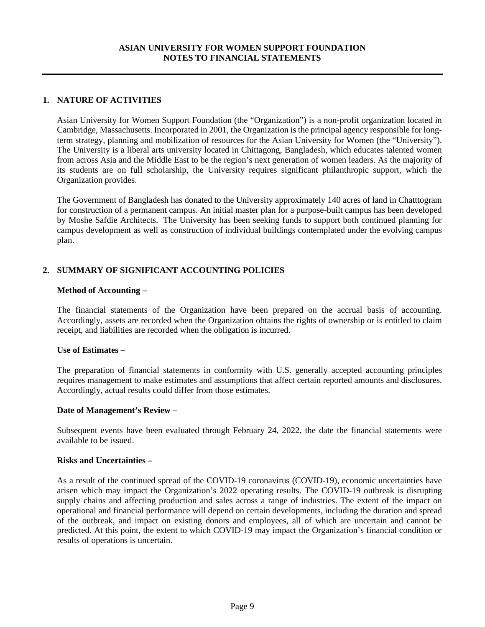### **1. NATURE OF ACTIVITIES**

Asian University for Women Support Foundation (the "Organization") is a non-profit organization located in Cambridge, Massachusetts. Incorporated in 2001, the Organization is the principal agency responsible for longterm strategy, planning and mobilization of resources for the Asian University for Women (the "University"). The University is a liberal arts university located in Chittagong, Bangladesh, which educates talented women from across Asia and the Middle East to be the region's next generation of women leaders. As the majority of its students are on full scholarship, the University requires significant philanthropic support, which the Organization provides.

The Government of Bangladesh has donated to the University approximately 140 acres of land in Chatttogram for construction of a permanent campus. An initial master plan for a purpose-built campus has been developed by Moshe Safdie Architects. The University has been seeking funds to support both continued planning for campus development as well as construction of individual buildings contemplated under the evolving campus plan.

# **2. SUMMARY OF SIGNIFICANT ACCOUNTING POLICIES**

#### **Method of Accounting –**

The financial statements of the Organization have been prepared on the accrual basis of accounting. Accordingly, assets are recorded when the Organization obtains the rights of ownership or is entitled to claim receipt, and liabilities are recorded when the obligation is incurred.

#### **Use of Estimates –**

The preparation of financial statements in conformity with U.S. generally accepted accounting principles requires management to make estimates and assumptions that affect certain reported amounts and disclosures. Accordingly, actual results could differ from those estimates.

#### **Date of Management's Review –**

Subsequent events have been evaluated through February 24, 2022, the date the financial statements were available to be issued.

#### **Risks and Uncertainties –**

As a result of the continued spread of the COVID-19 coronavirus (COVID-19), economic uncertainties have arisen which may impact the Organization's 2022 operating results. The COVID-19 outbreak is disrupting supply chains and affecting production and sales across a range of industries. The extent of the impact on operational and financial performance will depend on certain developments, including the duration and spread of the outbreak, and impact on existing donors and employees, all of which are uncertain and cannot be predicted. At this point, the extent to which COVID-19 may impact the Organization's financial condition or results of operations is uncertain.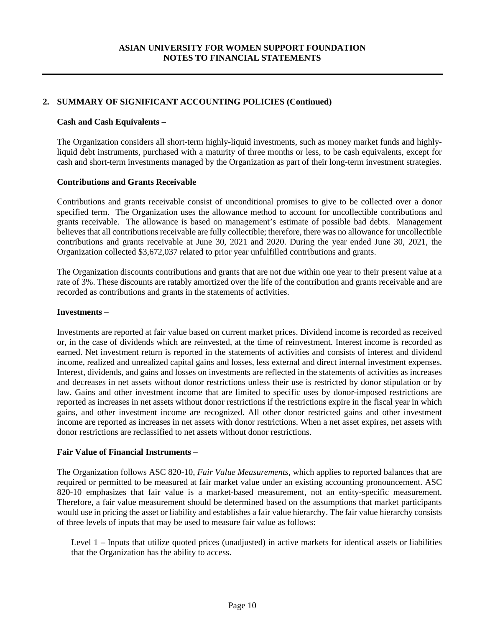#### **Cash and Cash Equivalents –**

The Organization considers all short-term highly-liquid investments, such as money market funds and highlyliquid debt instruments, purchased with a maturity of three months or less, to be cash equivalents, except for cash and short-term investments managed by the Organization as part of their long-term investment strategies.

#### **Contributions and Grants Receivable**

Contributions and grants receivable consist of unconditional promises to give to be collected over a donor specified term. The Organization uses the allowance method to account for uncollectible contributions and grants receivable. The allowance is based on management's estimate of possible bad debts. Management believes that all contributions receivable are fully collectible; therefore, there was no allowance for uncollectible contributions and grants receivable at June 30, 2021 and 2020. During the year ended June 30, 2021, the Organization collected \$3,672,037 related to prior year unfulfilled contributions and grants.

The Organization discounts contributions and grants that are not due within one year to their present value at a rate of 3%. These discounts are ratably amortized over the life of the contribution and grants receivable and are recorded as contributions and grants in the statements of activities.

#### **Investments –**

Investments are reported at fair value based on current market prices. Dividend income is recorded as received or, in the case of dividends which are reinvested, at the time of reinvestment. Interest income is recorded as earned. Net investment return is reported in the statements of activities and consists of interest and dividend income, realized and unrealized capital gains and losses, less external and direct internal investment expenses. Interest, dividends, and gains and losses on investments are reflected in the statements of activities as increases and decreases in net assets without donor restrictions unless their use is restricted by donor stipulation or by law. Gains and other investment income that are limited to specific uses by donor-imposed restrictions are reported as increases in net assets without donor restrictions if the restrictions expire in the fiscal year in which gains, and other investment income are recognized. All other donor restricted gains and other investment income are reported as increases in net assets with donor restrictions. When a net asset expires, net assets with donor restrictions are reclassified to net assets without donor restrictions.

#### **Fair Value of Financial Instruments –**

The Organization follows ASC 820-10, *Fair Value Measurements*, which applies to reported balances that are required or permitted to be measured at fair market value under an existing accounting pronouncement. ASC 820-10 emphasizes that fair value is a market-based measurement, not an entity-specific measurement. Therefore, a fair value measurement should be determined based on the assumptions that market participants would use in pricing the asset or liability and establishes a fair value hierarchy. The fair value hierarchy consists of three levels of inputs that may be used to measure fair value as follows:

Level 1 – Inputs that utilize quoted prices (unadjusted) in active markets for identical assets or liabilities that the Organization has the ability to access.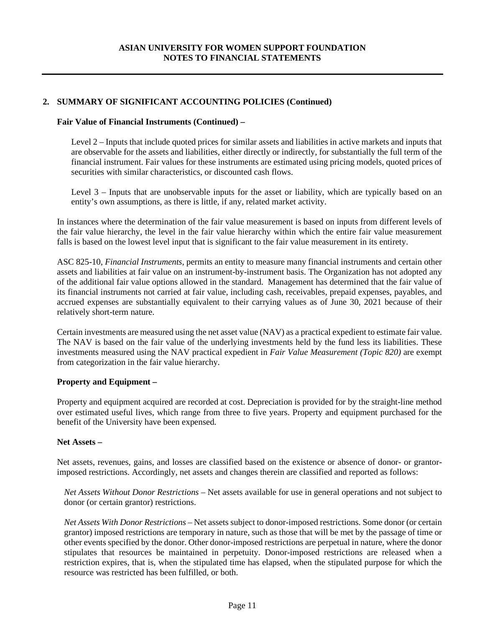#### **Fair Value of Financial Instruments (Continued) –**

Level 2 – Inputs that include quoted prices for similar assets and liabilities in active markets and inputs that are observable for the assets and liabilities, either directly or indirectly, for substantially the full term of the financial instrument. Fair values for these instruments are estimated using pricing models, quoted prices of securities with similar characteristics, or discounted cash flows.

Level 3 – Inputs that are unobservable inputs for the asset or liability, which are typically based on an entity's own assumptions, as there is little, if any, related market activity.

In instances where the determination of the fair value measurement is based on inputs from different levels of the fair value hierarchy, the level in the fair value hierarchy within which the entire fair value measurement falls is based on the lowest level input that is significant to the fair value measurement in its entirety.

ASC 825-10, *Financial Instruments*, permits an entity to measure many financial instruments and certain other assets and liabilities at fair value on an instrument-by-instrument basis. The Organization has not adopted any of the additional fair value options allowed in the standard. Management has determined that the fair value of its financial instruments not carried at fair value, including cash, receivables, prepaid expenses, payables, and accrued expenses are substantially equivalent to their carrying values as of June 30, 2021 because of their relatively short-term nature.

Certain investments are measured using the net asset value (NAV) as a practical expedient to estimate fair value. The NAV is based on the fair value of the underlying investments held by the fund less its liabilities. These investments measured using the NAV practical expedient in *Fair Value Measurement (Topic 820)* are exempt from categorization in the fair value hierarchy.

#### **Property and Equipment –**

Property and equipment acquired are recorded at cost. Depreciation is provided for by the straight-line method over estimated useful lives, which range from three to five years. Property and equipment purchased for the benefit of the University have been expensed.

#### **Net Assets –**

Net assets, revenues, gains, and losses are classified based on the existence or absence of donor- or grantorimposed restrictions. Accordingly, net assets and changes therein are classified and reported as follows:

*Net Assets Without Donor Restrictions* – Net assets available for use in general operations and not subject to donor (or certain grantor) restrictions.

*Net Assets With Donor Restrictions* – Net assets subject to donor-imposed restrictions. Some donor (or certain grantor) imposed restrictions are temporary in nature, such as those that will be met by the passage of time or other events specified by the donor. Other donor-imposed restrictions are perpetual in nature, where the donor stipulates that resources be maintained in perpetuity. Donor-imposed restrictions are released when a restriction expires, that is, when the stipulated time has elapsed, when the stipulated purpose for which the resource was restricted has been fulfilled, or both.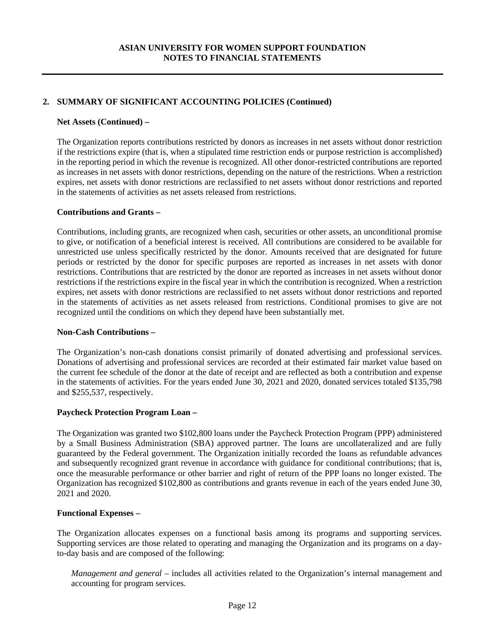#### **Net Assets (Continued) –**

The Organization reports contributions restricted by donors as increases in net assets without donor restriction if the restrictions expire (that is, when a stipulated time restriction ends or purpose restriction is accomplished) in the reporting period in which the revenue is recognized. All other donor-restricted contributions are reported as increases in net assets with donor restrictions, depending on the nature of the restrictions. When a restriction expires, net assets with donor restrictions are reclassified to net assets without donor restrictions and reported in the statements of activities as net assets released from restrictions.

#### **Contributions and Grants –**

Contributions, including grants, are recognized when cash, securities or other assets, an unconditional promise to give, or notification of a beneficial interest is received. All contributions are considered to be available for unrestricted use unless specifically restricted by the donor. Amounts received that are designated for future periods or restricted by the donor for specific purposes are reported as increases in net assets with donor restrictions. Contributions that are restricted by the donor are reported as increases in net assets without donor restrictions if the restrictions expire in the fiscal year in which the contribution is recognized. When a restriction expires, net assets with donor restrictions are reclassified to net assets without donor restrictions and reported in the statements of activities as net assets released from restrictions. Conditional promises to give are not recognized until the conditions on which they depend have been substantially met.

#### **Non-Cash Contributions –**

The Organization's non-cash donations consist primarily of donated advertising and professional services. Donations of advertising and professional services are recorded at their estimated fair market value based on the current fee schedule of the donor at the date of receipt and are reflected as both a contribution and expense in the statements of activities. For the years ended June 30, 2021 and 2020, donated services totaled \$135,798 and \$255,537, respectively.

#### **Paycheck Protection Program Loan –**

The Organization was granted two \$102,800 loans under the Paycheck Protection Program (PPP) administered by a Small Business Administration (SBA) approved partner. The loans are uncollateralized and are fully guaranteed by the Federal government. The Organization initially recorded the loans as refundable advances and subsequently recognized grant revenue in accordance with guidance for conditional contributions; that is, once the measurable performance or other barrier and right of return of the PPP loans no longer existed. The Organization has recognized \$102,800 as contributions and grants revenue in each of the years ended June 30, 2021 and 2020.

#### **Functional Expenses –**

The Organization allocates expenses on a functional basis among its programs and supporting services. Supporting services are those related to operating and managing the Organization and its programs on a dayto-day basis and are composed of the following:

*Management and general* – includes all activities related to the Organization's internal management and accounting for program services.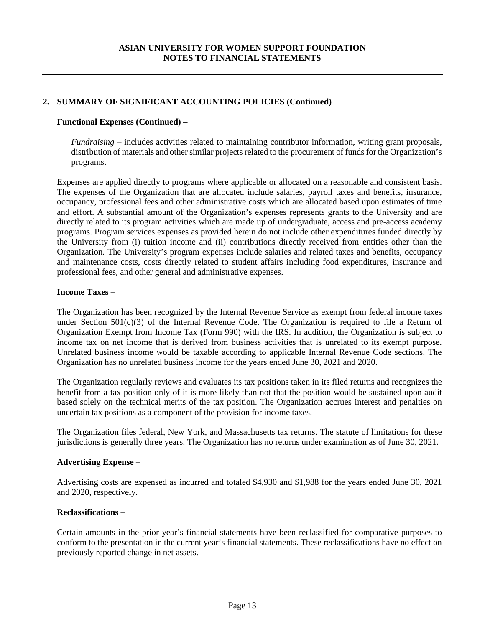#### **Functional Expenses (Continued) –**

*Fundraising* – includes activities related to maintaining contributor information, writing grant proposals, distribution of materials and other similar projects related to the procurement of funds for the Organization's programs.

Expenses are applied directly to programs where applicable or allocated on a reasonable and consistent basis. The expenses of the Organization that are allocated include salaries, payroll taxes and benefits, insurance, occupancy, professional fees and other administrative costs which are allocated based upon estimates of time and effort. A substantial amount of the Organization's expenses represents grants to the University and are directly related to its program activities which are made up of undergraduate, access and pre-access academy programs. Program services expenses as provided herein do not include other expenditures funded directly by the University from (i) tuition income and (ii) contributions directly received from entities other than the Organization. The University's program expenses include salaries and related taxes and benefits, occupancy and maintenance costs, costs directly related to student affairs including food expenditures, insurance and professional fees, and other general and administrative expenses.

#### **Income Taxes –**

The Organization has been recognized by the Internal Revenue Service as exempt from federal income taxes under Section 501(c)(3) of the Internal Revenue Code. The Organization is required to file a Return of Organization Exempt from Income Tax (Form 990) with the IRS. In addition, the Organization is subject to income tax on net income that is derived from business activities that is unrelated to its exempt purpose. Unrelated business income would be taxable according to applicable Internal Revenue Code sections. The Organization has no unrelated business income for the years ended June 30, 2021 and 2020.

The Organization regularly reviews and evaluates its tax positions taken in its filed returns and recognizes the benefit from a tax position only of it is more likely than not that the position would be sustained upon audit based solely on the technical merits of the tax position. The Organization accrues interest and penalties on uncertain tax positions as a component of the provision for income taxes.

The Organization files federal, New York, and Massachusetts tax returns. The statute of limitations for these jurisdictions is generally three years. The Organization has no returns under examination as of June 30, 2021.

#### **Advertising Expense –**

Advertising costs are expensed as incurred and totaled \$4,930 and \$1,988 for the years ended June 30, 2021 and 2020, respectively.

#### **Reclassifications –**

Certain amounts in the prior year's financial statements have been reclassified for comparative purposes to conform to the presentation in the current year's financial statements. These reclassifications have no effect on previously reported change in net assets.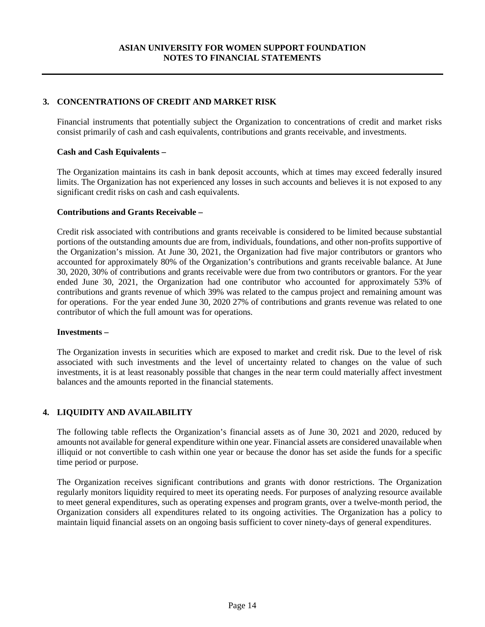### **3. CONCENTRATIONS OF CREDIT AND MARKET RISK**

Financial instruments that potentially subject the Organization to concentrations of credit and market risks consist primarily of cash and cash equivalents, contributions and grants receivable, and investments.

#### **Cash and Cash Equivalents –**

The Organization maintains its cash in bank deposit accounts, which at times may exceed federally insured limits. The Organization has not experienced any losses in such accounts and believes it is not exposed to any significant credit risks on cash and cash equivalents.

#### **Contributions and Grants Receivable –**

Credit risk associated with contributions and grants receivable is considered to be limited because substantial portions of the outstanding amounts due are from, individuals, foundations, and other non-profits supportive of the Organization's mission. At June 30, 2021, the Organization had five major contributors or grantors who accounted for approximately 80% of the Organization's contributions and grants receivable balance. At June 30, 2020, 30% of contributions and grants receivable were due from two contributors or grantors. For the year ended June 30, 2021, the Organization had one contributor who accounted for approximately 53% of contributions and grants revenue of which 39% was related to the campus project and remaining amount was for operations. For the year ended June 30, 2020 27% of contributions and grants revenue was related to one contributor of which the full amount was for operations.

#### **Investments –**

The Organization invests in securities which are exposed to market and credit risk. Due to the level of risk associated with such investments and the level of uncertainty related to changes on the value of such investments, it is at least reasonably possible that changes in the near term could materially affect investment balances and the amounts reported in the financial statements.

#### **4. LIQUIDITY AND AVAILABILITY**

The following table reflects the Organization's financial assets as of June 30, 2021 and 2020, reduced by amounts not available for general expenditure within one year. Financial assets are considered unavailable when illiquid or not convertible to cash within one year or because the donor has set aside the funds for a specific time period or purpose.

The Organization receives significant contributions and grants with donor restrictions. The Organization regularly monitors liquidity required to meet its operating needs. For purposes of analyzing resource available to meet general expenditures, such as operating expenses and program grants, over a twelve-month period, the Organization considers all expenditures related to its ongoing activities. The Organization has a policy to maintain liquid financial assets on an ongoing basis sufficient to cover ninety-days of general expenditures.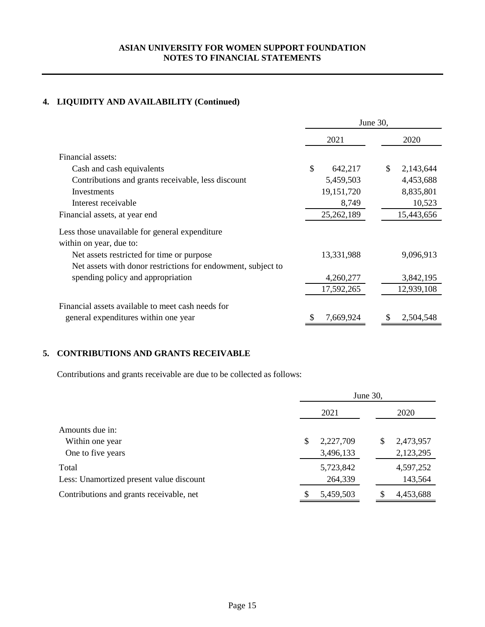### **ASIAN UNIVERSITY FOR WOMEN SUPPORT FOUNDATION NOTES TO FINANCIAL STATEMENTS**

# **4. LIQUIDITY AND AVAILABILITY (Continued)**

|                                                              | June 30,       |                 |  |  |
|--------------------------------------------------------------|----------------|-----------------|--|--|
|                                                              | 2021           | 2020            |  |  |
| Financial assets:                                            |                |                 |  |  |
| Cash and cash equivalents                                    | \$<br>642,217  | \$<br>2,143,644 |  |  |
| Contributions and grants receivable, less discount           | 5,459,503      | 4,453,688       |  |  |
| Investments                                                  | 19, 151, 720   | 8,835,801       |  |  |
| Interest receivable                                          | 8,749          | 10,523          |  |  |
| Financial assets, at year end                                | 25,262,189     | 15,443,656      |  |  |
| Less those unavailable for general expenditure               |                |                 |  |  |
| within on year, due to:                                      |                |                 |  |  |
| Net assets restricted for time or purpose                    | 13,331,988     | 9,096,913       |  |  |
| Net assets with donor restrictions for endowment, subject to |                |                 |  |  |
| spending policy and appropriation                            | 4,260,277      | 3,842,195       |  |  |
|                                                              | 17,592,265     | 12,939,108      |  |  |
| Financial assets available to meet cash needs for            |                |                 |  |  |
| general expenditures within one year                         | 7,669,924<br>S | \$<br>2,504,548 |  |  |

# **5. CONTRIBUTIONS AND GRANTS RECEIVABLE**

Contributions and grants receivable are due to be collected as follows:

| 2021          |           |     | 2020      |  |  |
|---------------|-----------|-----|-----------|--|--|
|               |           |     |           |  |  |
| <sup>\$</sup> | 2,227,709 | \$  | 2,473,957 |  |  |
|               | 3,496,133 |     | 2,123,295 |  |  |
|               | 5,723,842 |     | 4,597,252 |  |  |
|               | 264,339   |     | 143,564   |  |  |
| -S            | 5,459,503 | \$. | 4,453,688 |  |  |
|               |           |     | June 30,  |  |  |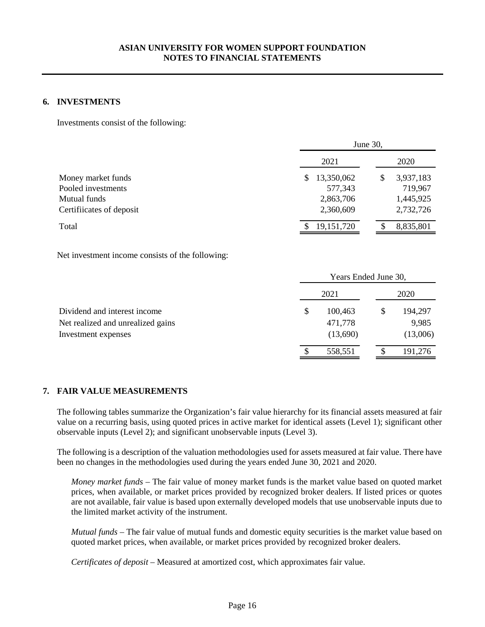### **6. INVESTMENTS**

Investments consist of the following:

|                          | June 30,          |                  |  |  |
|--------------------------|-------------------|------------------|--|--|
|                          | 2021              | 2020             |  |  |
| Money market funds       | 13,350,062<br>\$. | 3,937,183<br>\$. |  |  |
| Pooled investments       | 577,343           | 719,967          |  |  |
| Mutual funds             | 2,863,706         | 1,445,925        |  |  |
| Certifiicates of deposit | 2,360,609         | 2,732,726        |  |  |
| Total                    | 19, 151, 720      | 8,835,801        |  |  |

Net investment income consists of the following:

|                                   | Years Ended June 30, |          |    |          |  |
|-----------------------------------|----------------------|----------|----|----------|--|
|                                   |                      | 2021     |    | 2020     |  |
| Dividend and interest income      | S                    | 100,463  | \$ | 194,297  |  |
| Net realized and unrealized gains |                      | 471,778  |    | 9,985    |  |
| Investment expenses               |                      | (13,690) |    | (13,006) |  |
|                                   |                      | 558,551  |    | 191,276  |  |

#### **7. FAIR VALUE MEASUREMENTS**

The following tables summarize the Organization's fair value hierarchy for its financial assets measured at fair value on a recurring basis, using quoted prices in active market for identical assets (Level 1); significant other observable inputs (Level 2); and significant unobservable inputs (Level 3).

The following is a description of the valuation methodologies used for assets measured at fair value. There have been no changes in the methodologies used during the years ended June 30, 2021 and 2020.

*Money market funds* – The fair value of money market funds is the market value based on quoted market prices, when available, or market prices provided by recognized broker dealers. If listed prices or quotes are not available, fair value is based upon externally developed models that use unobservable inputs due to the limited market activity of the instrument.

*Mutual funds* – The fair value of mutual funds and domestic equity securities is the market value based on quoted market prices, when available, or market prices provided by recognized broker dealers.

*Certificates of deposit* – Measured at amortized cost, which approximates fair value.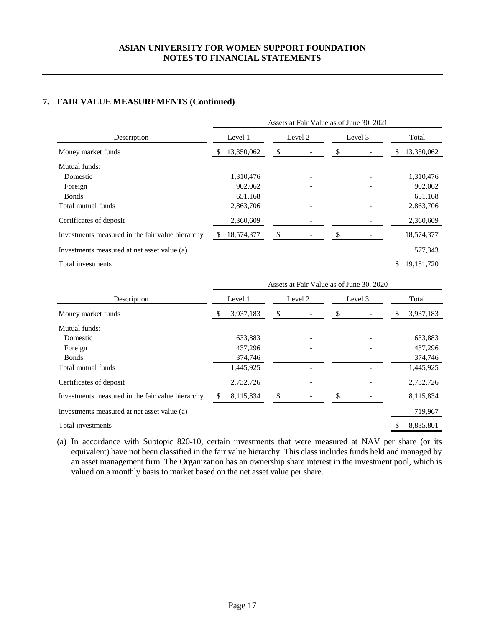# **7. FAIR VALUE MEASUREMENTS (Continued)**

|                                                  | Assets at Fair Value as of June 30, 2021 |            |               |         |         |                                          |    |              |
|--------------------------------------------------|------------------------------------------|------------|---------------|---------|---------|------------------------------------------|----|--------------|
| Description                                      |                                          | Level 1    |               | Level 2 | Level 3 |                                          |    | Total        |
| Money market funds                               | \$                                       | 13,350,062 | \$            |         | \$      |                                          |    | 13,350,062   |
| Mutual funds:                                    |                                          |            |               |         |         |                                          |    |              |
| Domestic                                         |                                          | 1,310,476  |               |         |         |                                          |    | 1,310,476    |
| Foreign                                          |                                          | 902,062    |               |         |         |                                          |    | 902,062      |
| <b>Bonds</b>                                     |                                          | 651,168    |               |         |         |                                          |    | 651,168      |
| Total mutual funds                               |                                          | 2,863,706  |               |         |         |                                          |    | 2,863,706    |
| Certificates of deposit                          |                                          | 2,360,609  |               |         |         |                                          |    | 2,360,609    |
| Investments measured in the fair value hierarchy | \$.                                      | 18,574,377 | \$            |         |         |                                          |    | 18,574,377   |
| Investments measured at net asset value (a)      |                                          |            |               |         |         |                                          |    | 577,343      |
| Total investments                                |                                          |            |               |         |         |                                          |    | 19, 151, 720 |
|                                                  |                                          |            |               |         |         | Assets at Fair Value as of June 30, 2020 |    |              |
| Description                                      |                                          | Level 1    |               | Level 2 |         | Level 3                                  |    | Total        |
| Money market funds                               | \$                                       | 3,937,183  | $\mathcal{S}$ |         | \$      |                                          | \$ | 3,937,183    |
| Mutual funds:                                    |                                          |            |               |         |         |                                          |    |              |
| Domestic                                         |                                          | 633,883    |               |         |         |                                          |    | 633,883      |
| Foreign                                          |                                          | 437,296    |               |         |         |                                          |    | 437,296      |
| <b>Bonds</b>                                     |                                          | 374,746    |               |         |         |                                          |    | 374,746      |
| Total mutual funds                               |                                          | 1,445,925  |               |         |         |                                          |    | 1,445,925    |
| Certificates of deposit                          |                                          | 2,732,726  |               |         |         |                                          |    | 2,732,726    |
| Investments measured in the fair value hierarchy | $\mathbb{S}$                             | 8,115,834  | \$            |         | \$      |                                          |    | 8,115,834    |
| Investments measured at net asset value (a)      |                                          |            |               |         |         |                                          |    | 719,967      |
| Total investments                                |                                          |            |               |         |         |                                          | \$ | 8,835,801    |

(a) In accordance with Subtopic 820-10, certain investments that were measured at NAV per share (or its equivalent) have not been classified in the fair value hierarchy. This class includes funds held and managed by an asset management firm. The Organization has an ownership share interest in the investment pool, which is valued on a monthly basis to market based on the net asset value per share.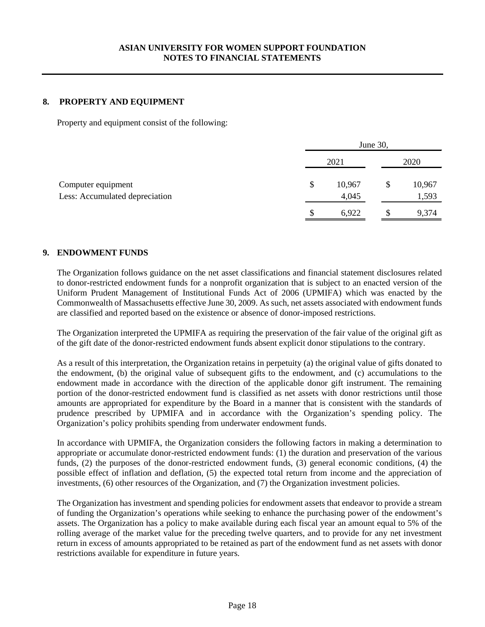#### **8. PROPERTY AND EQUIPMENT**

Property and equipment consist of the following:

|                                                      |    | June 30,        |    |                 |  |  |
|------------------------------------------------------|----|-----------------|----|-----------------|--|--|
|                                                      |    | 2021            |    | 2020            |  |  |
| Computer equipment<br>Less: Accumulated depreciation | \$ | 10,967<br>4,045 | \$ | 10,967<br>1,593 |  |  |
|                                                      | S  | 6,922           |    | 9,374           |  |  |

#### **9. ENDOWMENT FUNDS**

The Organization follows guidance on the net asset classifications and financial statement disclosures related to donor-restricted endowment funds for a nonprofit organization that is subject to an enacted version of the Uniform Prudent Management of Institutional Funds Act of 2006 (UPMIFA) which was enacted by the Commonwealth of Massachusetts effective June 30, 2009. As such, net assets associated with endowment funds are classified and reported based on the existence or absence of donor-imposed restrictions.

The Organization interpreted the UPMIFA as requiring the preservation of the fair value of the original gift as of the gift date of the donor-restricted endowment funds absent explicit donor stipulations to the contrary.

As a result of this interpretation, the Organization retains in perpetuity (a) the original value of gifts donated to the endowment, (b) the original value of subsequent gifts to the endowment, and (c) accumulations to the endowment made in accordance with the direction of the applicable donor gift instrument. The remaining portion of the donor-restricted endowment fund is classified as net assets with donor restrictions until those amounts are appropriated for expenditure by the Board in a manner that is consistent with the standards of prudence prescribed by UPMIFA and in accordance with the Organization's spending policy. The Organization's policy prohibits spending from underwater endowment funds.

In accordance with UPMIFA, the Organization considers the following factors in making a determination to appropriate or accumulate donor-restricted endowment funds: (1) the duration and preservation of the various funds, (2) the purposes of the donor-restricted endowment funds, (3) general economic conditions, (4) the possible effect of inflation and deflation, (5) the expected total return from income and the appreciation of investments, (6) other resources of the Organization, and (7) the Organization investment policies.

The Organization has investment and spending policies for endowment assets that endeavor to provide a stream of funding the Organization's operations while seeking to enhance the purchasing power of the endowment's assets. The Organization has a policy to make available during each fiscal year an amount equal to 5% of the rolling average of the market value for the preceding twelve quarters, and to provide for any net investment return in excess of amounts appropriated to be retained as part of the endowment fund as net assets with donor restrictions available for expenditure in future years.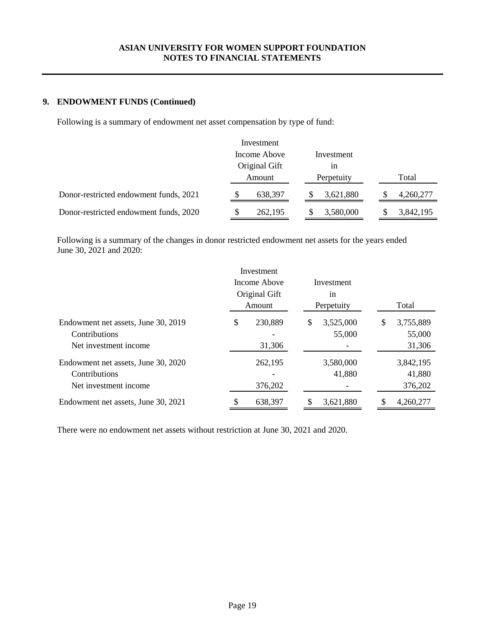# **9. ENDOWMENT FUNDS (Continued)**

Following is a summary of endowment net asset compensation by type of fund:

|                                        | Investment<br>Income Above<br>Original Gift<br>Amount |         | Investment<br>1n<br>Perpetuity |  | Total     |
|----------------------------------------|-------------------------------------------------------|---------|--------------------------------|--|-----------|
| Donor-restricted endowment funds, 2021 |                                                       | 638,397 | 3,621,880                      |  | 4,260,277 |
| Donor-restricted endowment funds, 2020 |                                                       | 262,195 | 3,580,000                      |  | 3,842,195 |

Following is a summary of the changes in donor restricted endowment net assets for the years ended June 30, 2021 and 2020:

|                                                                               | Investment<br>Income Above<br>Original Gift<br>Amount |                    | Investment<br>1n<br>Perpetuity |  | Total                               |
|-------------------------------------------------------------------------------|-------------------------------------------------------|--------------------|--------------------------------|--|-------------------------------------|
| Endowment net assets, June 30, 2019<br>Contributions<br>Net investment income | \$                                                    | 230,889<br>31,306  | \$<br>3,525,000<br>55,000      |  | \$<br>3,755,889<br>55,000<br>31,306 |
| Endowment net assets, June 30, 2020<br>Contributions<br>Net investment income |                                                       | 262,195<br>376,202 | 3,580,000<br>41,880            |  | 3,842,195<br>41,880<br>376,202      |
| Endowment net assets, June 30, 2021                                           |                                                       | 638,397            | 3,621,880                      |  | 4,260,277                           |

There were no endowment net assets without restriction at June 30, 2021 and 2020.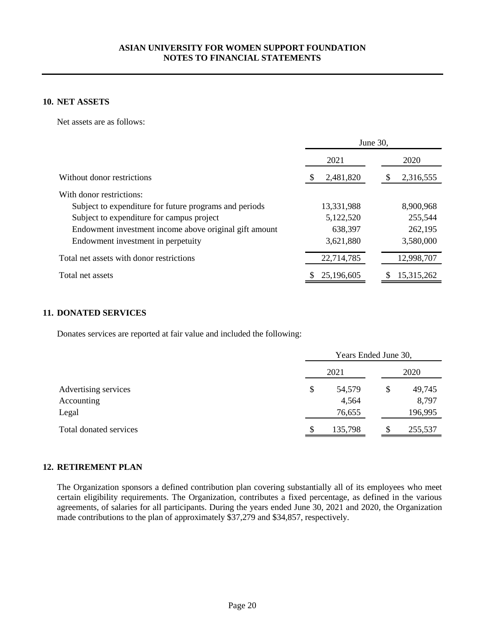#### **ASIAN UNIVERSITY FOR WOMEN SUPPORT FOUNDATION NOTES TO FINANCIAL STATEMENTS**

#### **10. NET ASSETS**

Net assets are as follows:

|                                                        | June 30,   |            |  |  |  |
|--------------------------------------------------------|------------|------------|--|--|--|
|                                                        | 2021       | 2020       |  |  |  |
| Without donor restrictions                             | 2,481,820  | 2,316,555  |  |  |  |
| With donor restrictions:                               |            |            |  |  |  |
| Subject to expenditure for future programs and periods | 13,331,988 | 8,900,968  |  |  |  |
| Subject to expenditure for campus project              | 5,122,520  | 255,544    |  |  |  |
| Endowment investment income above original gift amount | 638,397    | 262,195    |  |  |  |
| Endowment investment in perpetuity                     | 3,621,880  | 3,580,000  |  |  |  |
| Total net assets with donor restrictions               | 22,714,785 | 12,998,707 |  |  |  |
| Total net assets                                       | 25,196,605 | 15,315,262 |  |  |  |

### **11. DONATED SERVICES**

Donates services are reported at fair value and included the following:

|                        |    | Years Ended June 30, |    |         |  |  |
|------------------------|----|----------------------|----|---------|--|--|
|                        |    | 2021                 |    | 2020    |  |  |
| Advertising services   | \$ | 54,579               | \$ | 49,745  |  |  |
| Accounting             |    | 4,564                |    | 8,797   |  |  |
| Legal                  |    | 76,655               |    | 196,995 |  |  |
| Total donated services | S  | 135,798              | S  | 255,537 |  |  |

#### **12. RETIREMENT PLAN**

The Organization sponsors a defined contribution plan covering substantially all of its employees who meet certain eligibility requirements. The Organization, contributes a fixed percentage, as defined in the various agreements, of salaries for all participants. During the years ended June 30, 2021 and 2020, the Organization made contributions to the plan of approximately \$37,279 and \$34,857, respectively.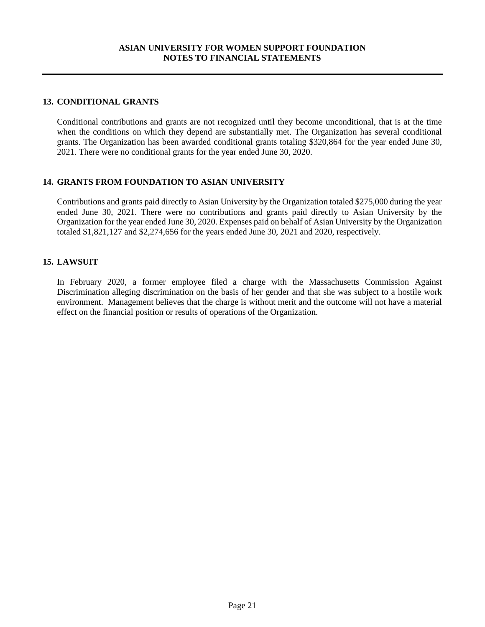#### **13. CONDITIONAL GRANTS**

Conditional contributions and grants are not recognized until they become unconditional, that is at the time when the conditions on which they depend are substantially met. The Organization has several conditional grants. The Organization has been awarded conditional grants totaling \$320,864 for the year ended June 30, 2021. There were no conditional grants for the year ended June 30, 2020.

#### **14. GRANTS FROM FOUNDATION TO ASIAN UNIVERSITY**

Contributions and grants paid directly to Asian University by the Organization totaled \$275,000 during the year ended June 30, 2021. There were no contributions and grants paid directly to Asian University by the Organization for the year ended June 30, 2020. Expenses paid on behalf of Asian University by the Organization totaled \$1,821,127 and \$2,274,656 for the years ended June 30, 2021 and 2020, respectively.

## **15. LAWSUIT**

In February 2020, a former employee filed a charge with the Massachusetts Commission Against Discrimination alleging discrimination on the basis of her gender and that she was subject to a hostile work environment. Management believes that the charge is without merit and the outcome will not have a material effect on the financial position or results of operations of the Organization.